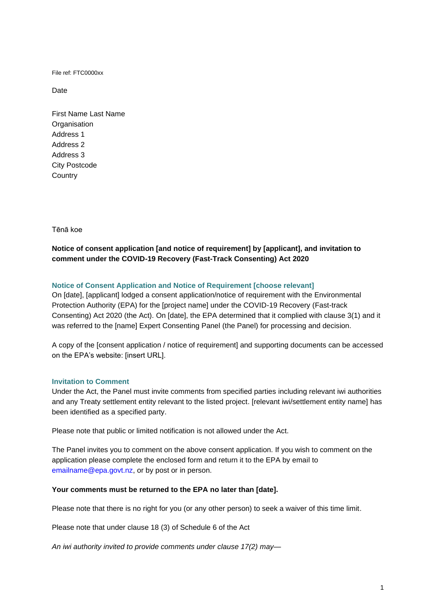File ref: FTC0000xx

Date

First Name Last Name **Organisation** Address 1 Address 2 Address 3 City Postcode **Country** 

Tēnā koe

# **Notice of consent application [and notice of requirement] by [applicant], and invitation to comment under the COVID-19 Recovery (Fast-Track Consenting) Act 2020**

# **Notice of Consent Application and Notice of Requirement [choose relevant]**

On [date], [applicant] lodged a consent application/notice of requirement with the Environmental Protection Authority (EPA) for the [project name] under the COVID-19 Recovery (Fast-track Consenting) Act 2020 (the Act). On [date], the EPA determined that it complied with clause 3(1) and it was referred to the [name] Expert Consenting Panel (the Panel) for processing and decision.

A copy of the [consent application / notice of requirement] and supporting documents can be accessed on the EPA's website: [insert URL].

## **Invitation to Comment**

Under the Act, the Panel must invite comments from specified parties including relevant iwi authorities and any Treaty settlement entity relevant to the listed project. [relevant iwi/settlement entity name] has been identified as a specified party.

Please note that public or limited notification is not allowed under the Act.

The Panel invites you to comment on the above consent application. If you wish to comment on the application please complete the enclosed form and return it to the EPA by email to [emailname@epa.govt.nz,](mailto:emailname@epa.govt.nz) or by post or in person.

#### **Your comments must be returned to the EPA no later than [date].**

Please note that there is no right for you (or any other person) to seek a waiver of this time limit.

Please note that under clause 18 (3) of Schedule 6 of the Act

*An iwi authority invited to provide comments under [clause 17\(2\)](http://legislation.govt.nz/act/public/2020/0035/latest/link.aspx?id=LMS348378#LMS348378) may—*